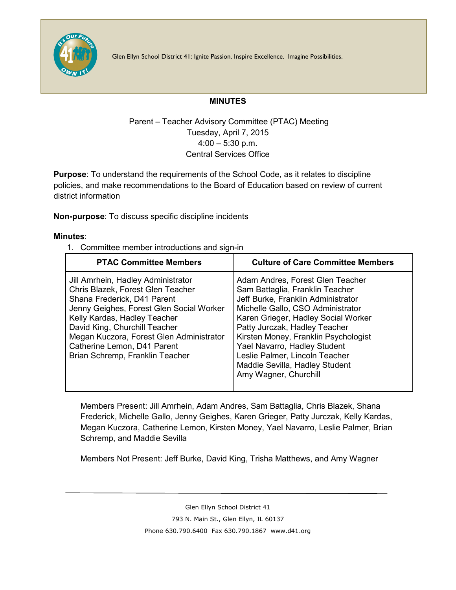

Glen Ellyn School District 41: Ignite Passion. Inspire Excellence. Imagine Possibilities.

## **MINUTES**

## Parent – Teacher Advisory Committee (PTAC) Meeting Tuesday, April 7, 2015 4:00 – 5:30 p.m. Central Services Office

**Purpose**: To understand the requirements of the School Code, as it relates to discipline policies, and make recommendations to the Board of Education based on review of current district information

**Non-purpose**: To discuss specific discipline incidents

## **Minutes**:

1. Committee member introductions and sign-in

| <b>PTAC Committee Members</b>                                                                                                                                                                                                                                                                                                     | <b>Culture of Care Committee Members</b>                                                                                                                                                                                                                                                                                                                                                    |
|-----------------------------------------------------------------------------------------------------------------------------------------------------------------------------------------------------------------------------------------------------------------------------------------------------------------------------------|---------------------------------------------------------------------------------------------------------------------------------------------------------------------------------------------------------------------------------------------------------------------------------------------------------------------------------------------------------------------------------------------|
| Jill Amrhein, Hadley Administrator<br>Chris Blazek, Forest Glen Teacher<br>Shana Frederick, D41 Parent<br>Jenny Geighes, Forest Glen Social Worker<br>Kelly Kardas, Hadley Teacher<br>David King, Churchill Teacher<br>Megan Kuczora, Forest Glen Administrator<br>Catherine Lemon, D41 Parent<br>Brian Schremp, Franklin Teacher | Adam Andres, Forest Glen Teacher<br>Sam Battaglia, Franklin Teacher<br>Jeff Burke, Franklin Administrator<br>Michelle Gallo, CSO Administrator<br>Karen Grieger, Hadley Social Worker<br>Patty Jurczak, Hadley Teacher<br>Kirsten Money, Franklin Psychologist<br>Yael Navarro, Hadley Student<br>Leslie Palmer, Lincoln Teacher<br>Maddie Sevilla, Hadley Student<br>Amy Wagner, Churchill |

Members Present: Jill Amrhein, Adam Andres, Sam Battaglia, Chris Blazek, Shana Frederick, Michelle Gallo, Jenny Geighes, Karen Grieger, Patty Jurczak, Kelly Kardas, Megan Kuczora, Catherine Lemon, Kirsten Money, Yael Navarro, Leslie Palmer, Brian Schremp, and Maddie Sevilla

Members Not Present: Jeff Burke, David King, Trisha Matthews, and Amy Wagner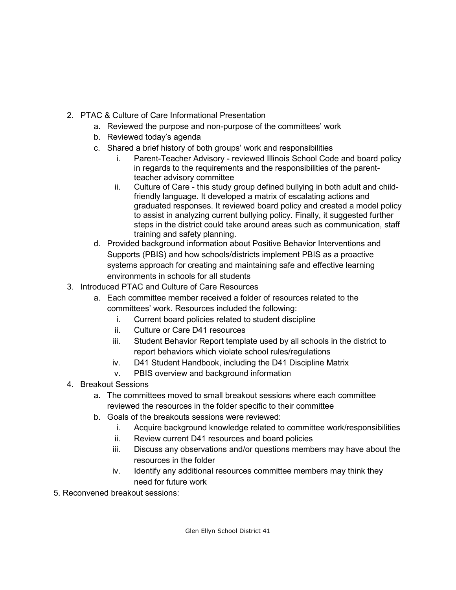- 2. PTAC & Culture of Care Informational Presentation
	- a. Reviewed the purpose and non-purpose of the committees' work
	- b. Reviewed today's agenda
	- c. Shared a brief history of both groups' work and responsibilities
		- i. Parent-Teacher Advisory reviewed Illinois School Code and board policy in regards to the requirements and the responsibilities of the parentteacher advisory committee
		- ii. Culture of Care this study group defined bullying in both adult and childfriendly language. It developed a matrix of escalating actions and graduated responses. It reviewed board policy and created a model policy to assist in analyzing current bullying policy. Finally, it suggested further steps in the district could take around areas such as communication, staff training and safety planning.
	- d. Provided background information about Positive Behavior Interventions and Supports (PBIS) and how schools/districts implement PBIS as a proactive systems approach for creating and maintaining safe and effective learning environments in schools for all students
- 3. Introduced PTAC and Culture of Care Resources
	- a. Each committee member received a folder of resources related to the committees' work. Resources included the following:
		- i. Current board policies related to student discipline
		- ii. Culture or Care D41 resources
		- iii. Student Behavior Report template used by all schools in the district to report behaviors which violate school rules/regulations
		- iv. D41 Student Handbook, including the D41 Discipline Matrix
		- v. PBIS overview and background information
- 4. Breakout Sessions
	- a. The committees moved to small breakout sessions where each committee reviewed the resources in the folder specific to their committee
	- b. Goals of the breakouts sessions were reviewed:
		- i. Acquire background knowledge related to committee work/responsibilities
		- ii. Review current D41 resources and board policies
		- iii. Discuss any observations and/or questions members may have about the resources in the folder
		- iv. Identify any additional resources committee members may think they need for future work
- 5. Reconvened breakout sessions: